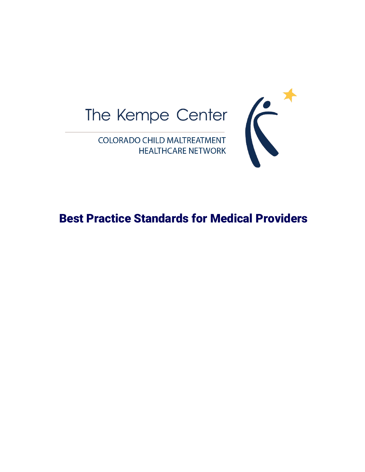



Best Practice Standards for Medical Providers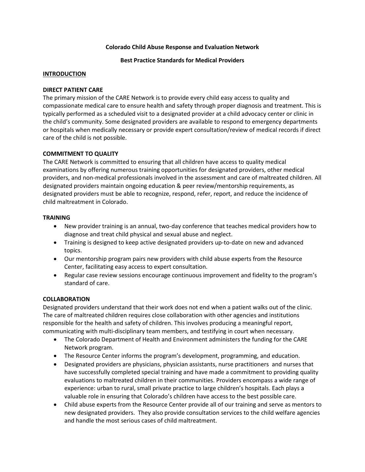#### **Colorado Child Abuse Response and Evaluation Network**

**Best Practice Standards for Medical Providers**

#### **INTRODUCTION**

#### **DIRECT PATIENT CARE**

The primary mission of the CARE Network is to provide every child easy access to quality and compassionate medical care to ensure health and safety through proper diagnosis and treatment. This is typically performed as a scheduled visit to a designated provider at a child advocacy center or clinic in the child's community. Some designated providers are available to respond to emergency departments or hospitals when medically necessary or provide expert consultation/review of medical records if direct care of the child is not possible.

## **COMMITMENT TO QUALITY**

The CARE Network is committed to ensuring that all children have access to quality medical examinations by offering numerous training opportunities for designated providers, other medical providers, and non-medical professionals involved in the assessment and care of maltreated children. All designated providers maintain ongoing education & peer review/mentorship requirements, as designated providers must be able to recognize, respond, refer, report, and reduce the incidence of child maltreatment in Colorado.

#### **TRAINING**

- New provider training is an annual, two-day conference that teaches medical providers how to diagnose and treat child physical and sexual abuse and neglect.
- Training is designed to keep active designated providers up-to-date on new and advanced topics.
- Our mentorship program pairs new providers with child abuse experts from the Resource Center, facilitating easy access to expert consultation.
- Regular case review sessions encourage continuous improvement and fidelity to the program's standard of care.

## **COLLABORATION**

Designated providers understand that their work does not end when a patient walks out of the clinic. The care of maltreated children requires close collaboration with other agencies and institutions responsible for the health and safety of children. This involves producing a meaningful report, communicating with multi-disciplinary team members, and testifying in court when necessary.

- The Colorado Department of Health and Environment administers the funding for the CARE Network program.
- The Resource Center informs the program's development, programming, and education.
- Designated providers are physicians, physician assistants, nurse practitioners and nurses that have successfully completed special training and have made a commitment to providing quality evaluations to maltreated children in their communities. Providers encompass a wide range of experience: urban to rural, small private practice to large children's hospitals. Each plays a valuable role in ensuring that Colorado's children have access to the best possible care.
- Child abuse experts from the Resource Center provide all of our training and serve as mentors to new designated providers. They also provide consultation services to the child welfare agencies and handle the most serious cases of child maltreatment.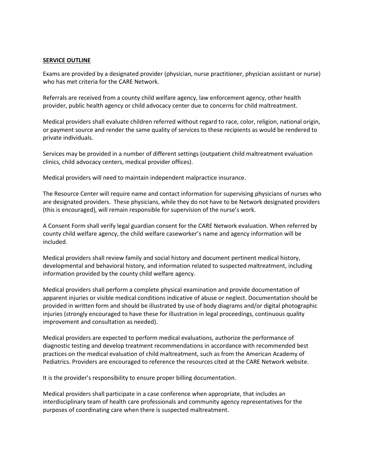#### **SERVICE OUTLINE**

Exams are provided by a designated provider (physician, nurse practitioner, physician assistant or nurse) who has met criteria for the CARE Network.

Referrals are received from a county child welfare agency, law enforcement agency, other health provider, public health agency or child advocacy center due to concerns for child maltreatment.

Medical providers shall evaluate children referred without regard to race, color, religion, national origin, or payment source and render the same quality of services to these recipients as would be rendered to private individuals.

Services may be provided in a number of different settings (outpatient child maltreatment evaluation clinics, child advocacy centers, medical provider offices).

Medical providers will need to maintain independent malpractice insurance.

The Resource Center will require name and contact information for supervising physicians of nurses who are designated providers. These physicians, while they do not have to be Network designated providers (this is encouraged), will remain responsible for supervision of the nurse's work.

A Consent Form shall verify legal guardian consent for the CARE Network evaluation. When referred by county child welfare agency, the child welfare caseworker's name and agency information will be included.

Medical providers shall review family and social history and document pertinent medical history, developmental and behavioral history, and information related to suspected maltreatment, including information provided by the county child welfare agency.

Medical providers shall perform a complete physical examination and provide documentation of apparent injuries or visible medical conditions indicative of abuse or neglect. Documentation should be provided in written form and should be illustrated by use of body diagrams and/or digital photographic injuries (strongly encouraged to have these for illustration in legal proceedings, continuous quality improvement and consultation as needed).

Medical providers are expected to perform medical evaluations, authorize the performance of diagnostic testing and develop treatment recommendations in accordance with recommended best practices on the medical evaluation of child maltreatment, such as from the American Academy of Pediatrics. Providers are encouraged to reference the resources cited at the CARE Network website.

It is the provider's responsibility to ensure proper billing documentation.

Medical providers shall participate in a case conference when appropriate, that includes an interdisciplinary team of health care professionals and community agency representatives for the purposes of coordinating care when there is suspected maltreatment.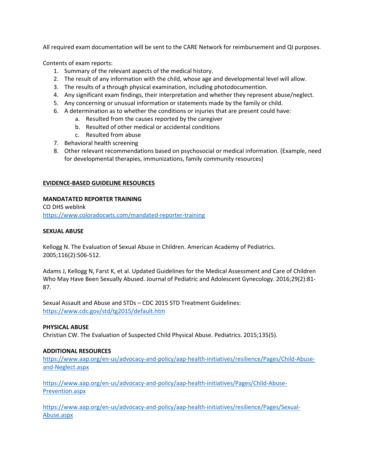All required exam documentation will be sent to the CARE Network for reimbursement and QI purposes.

Contents of exam reports:

- 1. Summary of the relevant aspects of the medical history.
- 2. The result of any information with the child, whose age and developmental level will allow.
- 3. The results of a through physical examination, including photodocumention.
- 4. Any significant exam findings, their interpretation and whether they represent abuse/neglect.
- 5. Any concerning or unusual information or statements made by the family or child.
- 6. A determination as to whether the conditions or injuries that are present could have:
	- a. Resulted from the causes reported by the caregiver
	- b. Resulted of other medical or accidental conditions
	- c. Resulted from abuse
- 7. Behavioral health screening
- 8. Other relevant recommendations based on psychosocial or medical information. (Example, need for developmental therapies, immunizations, family community resources)

## **EVIDENCE-BASED GUIDELINE RESOURCES**

## **MANDATATED REPORTER TRAINING**

CO DHS weblink <https://www.coloradocwts.com/mandated-reporter-training>

## **SEXUAL ABUSE**

Kellogg N. The Evaluation of Sexual Abuse in Children. American Academy of Pediatrics. 2005;116(2):506-512.

Adams J, Kellogg N, Farst K, et al. Updated Guidelines for the Medical Assessment and Care of Children Who May Have Been Sexually Abused. Journal of Pediatric and Adolescent Gynecology. 2016;29(2):81- 87.

Sexual Assault and Abuse and STDs – CDC 2015 STD Treatment Guidelines: <https://www.cdc.gov/std/tg2015/default.htm>

## **PHYSICAL ABUSE**

Christian CW. The Evaluation of Suspected Child Physical Abuse. Pediatrics. 2015;135(5).

## **ADDITIONAL RESOURCES**

[https://www.aap.org/en-us/advocacy-and-policy/aap-health-initiatives/resilience/Pages/Child-Abuse](https://www.aap.org/en-us/advocacy-and-policy/aap-health-initiatives/resilience/Pages/Child-Abuse-and-Neglect.aspx)[and-Neglect.aspx](https://www.aap.org/en-us/advocacy-and-policy/aap-health-initiatives/resilience/Pages/Child-Abuse-and-Neglect.aspx)

[https://www.aap.org/en-us/advocacy-and-policy/aap-health-initiatives/Pages/Child-Abuse-](https://www.aap.org/en-us/advocacy-and-policy/aap-health-initiatives/Pages/Child-Abuse-Prevention.aspx)[Prevention.aspx](https://www.aap.org/en-us/advocacy-and-policy/aap-health-initiatives/Pages/Child-Abuse-Prevention.aspx)

[https://www.aap.org/en-us/advocacy-and-policy/aap-health-initiatives/resilience/Pages/Sexual-](https://www.aap.org/en-us/advocacy-and-policy/aap-health-initiatives/resilience/Pages/Sexual-Abuse.aspx)[Abuse.aspx](https://www.aap.org/en-us/advocacy-and-policy/aap-health-initiatives/resilience/Pages/Sexual-Abuse.aspx)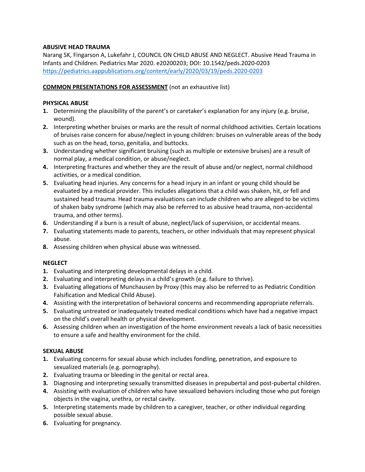# **ABUSIVE HEAD TRAUMA**

Narang SK, Fingarson A, Lukefahr J, COUNCIL ON CHILD ABUSE AND NEGLECT. Abusive Head Trauma in Infants and Children. Pediatrics Mar 2020. e20200203; DOI: 10.1542/peds.2020-0203 <https://pediatrics.aappublications.org/content/early/2020/03/19/peds.2020-0203>

# **COMMON PRESENTATIONS FOR ASSESSMENT** (not an exhaustive list)

# **PHYSICAL ABUSE**

- **1.** Determining the plausibility of the parent's or caretaker's explanation for any injury (e.g. bruise, wound).
- **2.** Interpreting whether bruises or marks are the result of normal childhood activities. Certain locations of bruises raise concern for abuse/neglect in young children: bruises on vulnerable areas of the body such as on the head, torso, genitalia, and buttocks.
- **3.** Understanding whether significant bruising (such as multiple or extensive bruises) are a result of normal play, a medical condition, or abuse/neglect.
- **4.** Interpreting fractures and whether they are the result of abuse and/or neglect, normal childhood activities, or a medical condition.
- **5.** Evaluating head injuries. Any concerns for a head injury in an infant or young child should be evaluated by a medical provider. This includes allegations that a child was shaken, hit, or fell and sustained head trauma. Head trauma evaluations can include children who are alleged to be victims of shaken baby syndrome (which may also be referred to as abusive head trauma, non-accidental trauma, and other terms).
- **6.** Understanding if a burn is a result of abuse, neglect/lack of supervision, or accidental means.
- **7.** Evaluating statements made to parents, teachers, or other individuals that may represent physical abuse.
- **8.** Assessing children when physical abuse was witnessed.

# **NEGLECT**

- **1.** Evaluating and interpreting developmental delays in a child.
- **2.** Evaluating and interpreting delays in a child's growth (e.g. failure to thrive).
- **3.** Evaluating allegations of Munchausen by Proxy (this may also be referred to as Pediatric Condition Falsification and Medical Child Abuse).
- **4.** Assisting with the interpretation of behavioral concerns and recommending appropriate referrals.
- **5.** Evaluating untreated or inadequately treated medical conditions which have had a negative impact on the child's overall health or physical development.
- **6.** Assessing children when an investigation of the home environment reveals a lack of basic necessities to ensure a safe and healthy environment for the child.

# **SEXUAL ABUSE**

- **1.** Evaluating concerns for sexual abuse which includes fondling, penetration, and exposure to sexualized materials (e.g. pornography).
- **2.** Evaluating trauma or bleeding in the genital or rectal area.
- **3.** Diagnosing and interpreting sexually transmitted diseases in prepubertal and post-pubertal children.
- **4.** Assisting with evaluation of children who have sexualized behaviors including those who put foreign objects in the vagina, urethra, or rectal cavity.
- **5.** Interpreting statements made by children to a caregiver, teacher, or other individual regarding possible sexual abuse.
- **6.** Evaluating for pregnancy.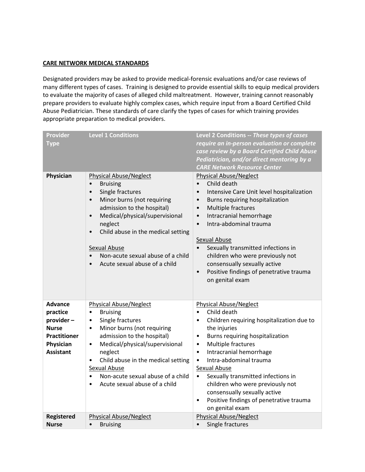## **CARE NETWORK MEDICAL STANDARDS**

Designated providers may be asked to provide medical-forensic evaluations and/or case reviews of many different types of cases. Training is designed to provide essential skills to equip medical providers to evaluate the majority of cases of alleged child maltreatment. However, training cannot reasonably prepare providers to evaluate highly complex cases, which require input from a Board Certified Child Abuse Pediatrician. These standards of care clarify the types of cases for which training provides appropriate preparation to medical providers.

| <b>Provider</b><br><b>Type</b> | <b>Level 1 Conditions</b>                                                                                                                                                                                                                                                                                                                                                  | Level 2 Conditions -- These types of cases<br>require an in-person evaluation or complete<br>case review by a Board Certified Child Abuse<br>Pediatrician, and/or direct mentoring by a<br><b>CARE Network Resource Center</b>                                                                                                                                                                                                                                                                                 |
|--------------------------------|----------------------------------------------------------------------------------------------------------------------------------------------------------------------------------------------------------------------------------------------------------------------------------------------------------------------------------------------------------------------------|----------------------------------------------------------------------------------------------------------------------------------------------------------------------------------------------------------------------------------------------------------------------------------------------------------------------------------------------------------------------------------------------------------------------------------------------------------------------------------------------------------------|
| Physician                      | <b>Physical Abuse/Neglect</b><br><b>Bruising</b><br>$\bullet$<br>Single fractures<br>$\bullet$<br>Minor burns (not requiring<br>$\bullet$<br>admission to the hospital)<br>Medical/physical/supervisional<br>$\bullet$<br>neglect<br>Child abuse in the medical setting<br>$\bullet$<br>Sexual Abuse<br>Non-acute sexual abuse of a child<br>Acute sexual abuse of a child | <b>Physical Abuse/Neglect</b><br>Child death<br>$\bullet$<br>Intensive Care Unit level hospitalization<br>$\bullet$<br>Burns requiring hospitalization<br>$\bullet$<br>Multiple fractures<br>$\bullet$<br>Intracranial hemorrhage<br>$\bullet$<br>Intra-abdominal trauma<br>$\bullet$<br><b>Sexual Abuse</b><br>Sexually transmitted infections in<br>$\bullet$<br>children who were previously not<br>consensually sexually active<br>Positive findings of penetrative trauma<br>$\bullet$<br>on genital exam |
| <b>Advance</b><br>practice     | <b>Physical Abuse/Neglect</b><br><b>Bruising</b><br>$\bullet$                                                                                                                                                                                                                                                                                                              | <b>Physical Abuse/Neglect</b><br>Child death<br>$\bullet$                                                                                                                                                                                                                                                                                                                                                                                                                                                      |
| provider-<br><b>Nurse</b>      | Single fractures<br>$\bullet$<br>Minor burns (not requiring<br>$\bullet$                                                                                                                                                                                                                                                                                                   | Children requiring hospitalization due to<br>$\bullet$                                                                                                                                                                                                                                                                                                                                                                                                                                                         |
| <b>Practitioner</b>            | admission to the hospital)                                                                                                                                                                                                                                                                                                                                                 | the injuries<br>Burns requiring hospitalization<br>$\bullet$                                                                                                                                                                                                                                                                                                                                                                                                                                                   |
| Physician                      | Medical/physical/supervisional<br>$\bullet$                                                                                                                                                                                                                                                                                                                                | Multiple fractures<br>$\bullet$                                                                                                                                                                                                                                                                                                                                                                                                                                                                                |
| <b>Assistant</b>               | neglect                                                                                                                                                                                                                                                                                                                                                                    | Intracranial hemorrhage<br>$\bullet$                                                                                                                                                                                                                                                                                                                                                                                                                                                                           |
|                                | Child abuse in the medical setting<br>$\bullet$<br><b>Sexual Abuse</b>                                                                                                                                                                                                                                                                                                     | Intra-abdominal trauma<br>$\bullet$<br>Sexual Abuse                                                                                                                                                                                                                                                                                                                                                                                                                                                            |
|                                | Non-acute sexual abuse of a child<br>$\bullet$                                                                                                                                                                                                                                                                                                                             | Sexually transmitted infections in<br>$\bullet$                                                                                                                                                                                                                                                                                                                                                                                                                                                                |
|                                | Acute sexual abuse of a child                                                                                                                                                                                                                                                                                                                                              | children who were previously not                                                                                                                                                                                                                                                                                                                                                                                                                                                                               |
|                                |                                                                                                                                                                                                                                                                                                                                                                            | consensually sexually active<br>Positive findings of penetrative trauma<br>$\bullet$                                                                                                                                                                                                                                                                                                                                                                                                                           |
|                                |                                                                                                                                                                                                                                                                                                                                                                            | on genital exam                                                                                                                                                                                                                                                                                                                                                                                                                                                                                                |
| <b>Registered</b>              | <b>Physical Abuse/Neglect</b>                                                                                                                                                                                                                                                                                                                                              | <b>Physical Abuse/Neglect</b>                                                                                                                                                                                                                                                                                                                                                                                                                                                                                  |
| <b>Nurse</b>                   | <b>Bruising</b><br>$\bullet$                                                                                                                                                                                                                                                                                                                                               | Single fractures                                                                                                                                                                                                                                                                                                                                                                                                                                                                                               |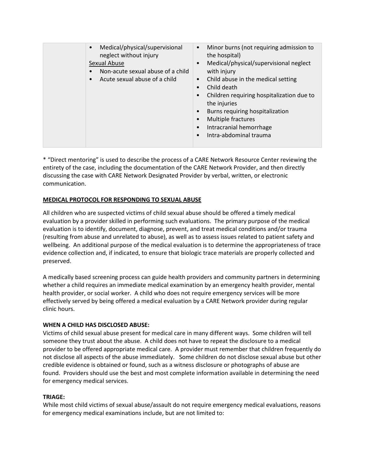| Medical/physical/supervisional<br>neglect without injury<br>Sexual Abuse<br>Non-acute sexual abuse of a child<br>Acute sexual abuse of a child | Minor burns (not requiring admission to<br>$\bullet$<br>the hospital)<br>Medical/physical/supervisional neglect<br>$\bullet$<br>with injury<br>Child abuse in the medical setting<br>$\bullet$<br>Child death<br>$\bullet$<br>Children requiring hospitalization due to<br>the injuries<br>Burns requiring hospitalization<br>$\bullet$<br>Multiple fractures<br>Intracranial hemorrhage<br>Intra-abdominal trauma |
|------------------------------------------------------------------------------------------------------------------------------------------------|--------------------------------------------------------------------------------------------------------------------------------------------------------------------------------------------------------------------------------------------------------------------------------------------------------------------------------------------------------------------------------------------------------------------|

\* "Direct mentoring" is used to describe the process of a CARE Network Resource Center reviewing the entirety of the case, including the documentation of the CARE Network Provider, and then directly discussing the case with CARE Network Designated Provider by verbal, written, or electronic communication.

# **MEDICAL PROTOCOL FOR RESPONDING TO SEXUAL ABUSE**

All children who are suspected victims of child sexual abuse should be offered a timely medical evaluation by a provider skilled in performing such evaluations. The primary purpose of the medical evaluation is to identify, document, diagnose, prevent, and treat medical conditions and/or trauma (resulting from abuse and unrelated to abuse), as well as to assess issues related to patient safety and wellbeing. An additional purpose of the medical evaluation is to determine the appropriateness of trace evidence collection and, if indicated, to ensure that biologic trace materials are properly collected and preserved.

A medically based screening process can guide health providers and community partners in determining whether a child requires an immediate medical examination by an emergency health provider, mental health provider, or social worker. A child who does not require emergency services will be more effectively served by being offered a medical evaluation by a CARE Network provider during regular clinic hours.

## **WHEN A CHILD HAS DISCLOSED ABUSE:**

Victims of child sexual abuse present for medical care in many different ways. Some children will tell someone they trust about the abuse. A child does not have to repeat the disclosure to a medical provider to be offered appropriate medical care. A provider must remember that children frequently do not disclose all aspects of the abuse immediately. Some children do not disclose sexual abuse but other credible evidence is obtained or found, such as a witness disclosure or photographs of abuse are found. Providers should use the best and most complete information available in determining the need for emergency medical services.

## **TRIAGE:**

While most child victims of sexual abuse/assault do not require emergency medical evaluations, reasons for emergency medical examinations include, but are not limited to: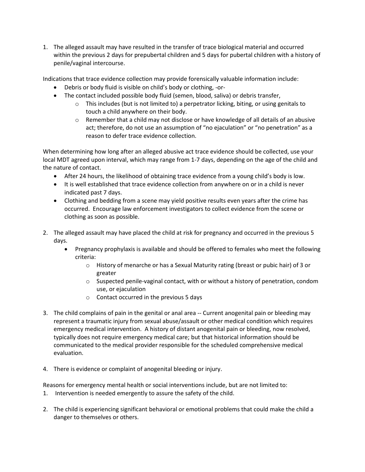1. The alleged assault may have resulted in the transfer of trace biological material and occurred within the previous 2 days for prepubertal children and 5 days for pubertal children with a history of penile/vaginal intercourse.

Indications that trace evidence collection may provide forensically valuable information include:

- Debris or body fluid is visible on child's body or clothing, -or-
- The contact included possible body fluid (semen, blood, saliva) or debris transfer,
	- $\circ$  This includes (but is not limited to) a perpetrator licking, biting, or using genitals to touch a child anywhere on their body.
	- $\circ$  Remember that a child may not disclose or have knowledge of all details of an abusive act; therefore, do not use an assumption of "no ejaculation" or "no penetration" as a reason to defer trace evidence collection.

When determining how long after an alleged abusive act trace evidence should be collected, use your local MDT agreed upon interval, which may range from 1-7 days, depending on the age of the child and the nature of contact.

- After 24 hours, the likelihood of obtaining trace evidence from a young child's body is low.
- It is well established that trace evidence collection from anywhere on or in a child is never indicated past 7 days.
- Clothing and bedding from a scene may yield positive results even years after the crime has occurred. Encourage law enforcement investigators to collect evidence from the scene or clothing as soon as possible.
- 2. The alleged assault may have placed the child at risk for pregnancy and occurred in the previous 5 days.
	- Pregnancy prophylaxis is available and should be offered to females who meet the following criteria:
		- o History of menarche or has a Sexual Maturity rating (breast or pubic hair) of 3 or greater
		- $\circ$  Suspected penile-vaginal contact, with or without a history of penetration, condom use, or ejaculation
		- o Contact occurred in the previous 5 days
- 3. The child complains of pain in the genital or anal area -- Current anogenital pain or bleeding may represent a traumatic injury from sexual abuse/assault or other medical condition which requires emergency medical intervention. A history of distant anogenital pain or bleeding, now resolved, typically does not require emergency medical care; but that historical information should be communicated to the medical provider responsible for the scheduled comprehensive medical evaluation.
- 4. There is evidence or complaint of anogenital bleeding or injury.

Reasons for emergency mental health or social interventions include, but are not limited to: 1. Intervention is needed emergently to assure the safety of the child.

2. The child is experiencing significant behavioral or emotional problems that could make the child a danger to themselves or others.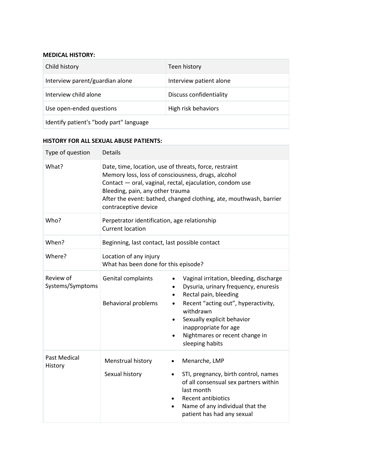#### **MEDICAL HISTORY:**

| Child history                           | Teen history            |  |
|-----------------------------------------|-------------------------|--|
| Interview parent/guardian alone         | Interview patient alone |  |
| Interview child alone                   | Discuss confidentiality |  |
| Use open-ended questions                | High risk behaviors     |  |
| Identify patient's "body part" language |                         |  |

#### **HISTORY FOR ALL SEXUAL ABUSE PATIENTS:**

| Type of question              | <b>Details</b>                                                                                                                                                                                                                                                                                             |                                                                                                                                                                                                                                                                                                                              |  |
|-------------------------------|------------------------------------------------------------------------------------------------------------------------------------------------------------------------------------------------------------------------------------------------------------------------------------------------------------|------------------------------------------------------------------------------------------------------------------------------------------------------------------------------------------------------------------------------------------------------------------------------------------------------------------------------|--|
| What?                         | Date, time, location, use of threats, force, restraint<br>Memory loss, loss of consciousness, drugs, alcohol<br>Contact - oral, vaginal, rectal, ejaculation, condom use<br>Bleeding, pain, any other trauma<br>After the event: bathed, changed clothing, ate, mouthwash, barrier<br>contraceptive device |                                                                                                                                                                                                                                                                                                                              |  |
| Who?                          | Perpetrator identification, age relationship<br><b>Current location</b>                                                                                                                                                                                                                                    |                                                                                                                                                                                                                                                                                                                              |  |
| When?                         | Beginning, last contact, last possible contact                                                                                                                                                                                                                                                             |                                                                                                                                                                                                                                                                                                                              |  |
| Where?                        | Location of any injury<br>What has been done for this episode?                                                                                                                                                                                                                                             |                                                                                                                                                                                                                                                                                                                              |  |
| Review of<br>Systems/Symptoms | Genital complaints<br><b>Behavioral problems</b>                                                                                                                                                                                                                                                           | Vaginal irritation, bleeding, discharge<br>Dysuria, urinary frequency, enuresis<br>$\bullet$<br>Rectal pain, bleeding<br>$\bullet$<br>Recent "acting out", hyperactivity,<br>$\bullet$<br>withdrawn<br>Sexually explicit behavior<br>$\bullet$<br>inappropriate for age<br>Nightmares or recent change in<br>sleeping habits |  |
| Past Medical<br>History       | Menstrual history<br>Sexual history                                                                                                                                                                                                                                                                        | Menarche, LMP<br>$\bullet$<br>STI, pregnancy, birth control, names<br>$\bullet$<br>of all consensual sex partners within<br>last month<br><b>Recent antibiotics</b><br>$\bullet$<br>Name of any individual that the<br>$\bullet$<br>patient has had any sexual                                                               |  |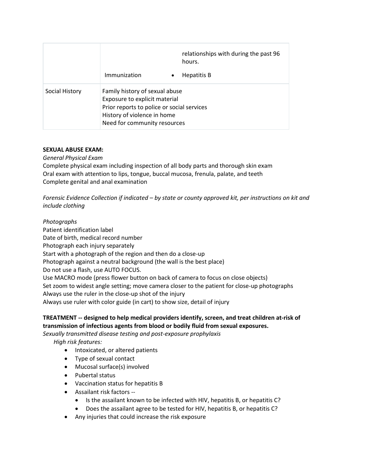|                | Immunization<br>$\bullet$                                                                                                                                                    | relationships with during the past 96<br>hours.<br>Hepatitis B |
|----------------|------------------------------------------------------------------------------------------------------------------------------------------------------------------------------|----------------------------------------------------------------|
| Social History | Family history of sexual abuse<br>Exposure to explicit material<br>Prior reports to police or social services<br>History of violence in home<br>Need for community resources |                                                                |

## **SEXUAL ABUSE EXAM:**

*General Physical Exam*

Complete physical exam including inspection of all body parts and thorough skin exam Oral exam with attention to lips, tongue, buccal mucosa, frenula, palate, and teeth Complete genital and anal examination

*Forensic Evidence Collection if indicated – by state or county approved kit, per instructions on kit and include clothing*

*Photographs* Patient identification label Date of birth, medical record number Photograph each injury separately Start with a photograph of the region and then do a close-up Photograph against a neutral background (the wall is the best place) Do not use a flash, use AUTO FOCUS. Use MACRO mode (press flower button on back of camera to focus on close objects) Set zoom to widest angle setting; move camera closer to the patient for close-up photographs Always use the ruler in the close-up shot of the injury Always use ruler with color guide (in cart) to show size, detail of injury

# **TREATMENT -- designed to help medical providers identify, screen, and treat children at-risk of transmission of infectious agents from blood or bodily fluid from sexual exposures.**

*Sexually transmitted disease testing and post-exposure prophylaxis*

*High risk features:*

- Intoxicated, or altered patients
- Type of sexual contact
- Mucosal surface(s) involved
- Pubertal status
- Vaccination status for hepatitis B
- Assailant risk factors --
	- Is the assailant known to be infected with HIV, hepatitis B, or hepatitis C?
	- Does the assailant agree to be tested for HIV, hepatitis B, or hepatitis C?
- Any injuries that could increase the risk exposure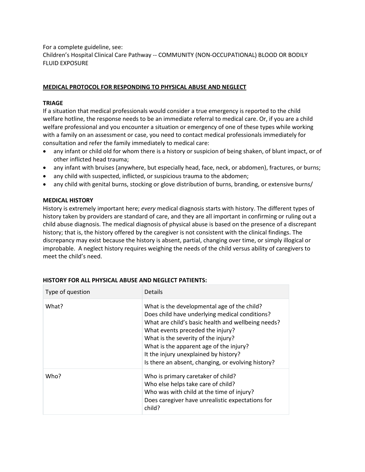For a complete guideline, see: Children's Hospital Clinical Care Pathway -- COMMUNITY (NON-OCCUPATIONAL) BLOOD OR BODILY FLUID EXPOSURE

#### **MEDICAL PROTOCOL FOR RESPONDING TO PHYSICAL ABUSE AND NEGLECT**

#### **TRIAGE**

If a situation that medical professionals would consider a true emergency is reported to the child welfare hotline, the response needs to be an immediate referral to medical care. Or, if you are a child welfare professional and you encounter a situation or emergency of one of these types while working with a family on an assessment or case, you need to contact medical professionals immediately for consultation and refer the family immediately to medical care:

- any infant or child old for whom there is a history or suspicion of being shaken, of blunt impact, or of other inflicted head trauma;
- any infant with bruises (anywhere, but especially head, face, neck, or abdomen), fractures, or burns;
- any child with suspected, inflicted, or suspicious trauma to the abdomen;
- any child with genital burns, stocking or glove distribution of burns, branding, or extensive burns/

#### **MEDICAL HISTORY**

History is extremely important here; *every* medical diagnosis starts with history. The different types of history taken by providers are standard of care, and they are all important in confirming or ruling out a child abuse diagnosis. The medical diagnosis of physical abuse is based on the presence of a discrepant history; that is, the history offered by the caregiver is not consistent with the clinical findings. The discrepancy may exist because the history is absent, partial, changing over time, or simply illogical or improbable. A neglect history requires weighing the needs of the child versus ability of caregivers to meet the child's need.

| Type of question | Details                                                                                                                                                                                                                                                                                                                                                                  |
|------------------|--------------------------------------------------------------------------------------------------------------------------------------------------------------------------------------------------------------------------------------------------------------------------------------------------------------------------------------------------------------------------|
| What?            | What is the developmental age of the child?<br>Does child have underlying medical conditions?<br>What are child's basic health and wellbeing needs?<br>What events preceded the injury?<br>What is the severity of the injury?<br>What is the apparent age of the injury?<br>It the injury unexplained by history?<br>Is there an absent, changing, or evolving history? |
| Who?             | Who is primary caretaker of child?<br>Who else helps take care of child?<br>Who was with child at the time of injury?<br>Does caregiver have unrealistic expectations for<br>child?                                                                                                                                                                                      |

#### **HISTORY FOR ALL PHYSICAL ABUSE AND NEGLECT PATIENTS:**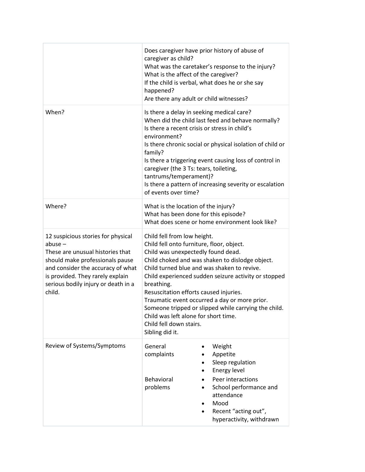|                                                                                                                                                                                                                                                  | Does caregiver have prior history of abuse of<br>caregiver as child?<br>What is the affect of the caregiver?<br>If the child is verbal, what does he or she say<br>happened?<br>Are there any adult or child witnesses?                                                                                                                                                                                                                                                                                                         | What was the caretaker's response to the injury?                                                                                                                                |
|--------------------------------------------------------------------------------------------------------------------------------------------------------------------------------------------------------------------------------------------------|---------------------------------------------------------------------------------------------------------------------------------------------------------------------------------------------------------------------------------------------------------------------------------------------------------------------------------------------------------------------------------------------------------------------------------------------------------------------------------------------------------------------------------|---------------------------------------------------------------------------------------------------------------------------------------------------------------------------------|
| When?                                                                                                                                                                                                                                            | Is there a delay in seeking medical care?<br>When did the child last feed and behave normally?<br>Is there a recent crisis or stress in child's<br>environment?<br>Is there chronic social or physical isolation of child or<br>family?<br>Is there a triggering event causing loss of control in<br>caregiver (the 3 Ts: tears, toileting,<br>tantrums/temperament)?<br>Is there a pattern of increasing severity or escalation<br>of events over time?                                                                        |                                                                                                                                                                                 |
| Where?                                                                                                                                                                                                                                           | What is the location of the injury?<br>What has been done for this episode?<br>What does scene or home environment look like?                                                                                                                                                                                                                                                                                                                                                                                                   |                                                                                                                                                                                 |
| 12 suspicious stories for physical<br>$abuse -$<br>These are unusual histories that<br>should make professionals pause<br>and consider the accuracy of what<br>is provided. They rarely explain<br>serious bodily injury or death in a<br>child. | Child fell from low height.<br>Child fell onto furniture, floor, object.<br>Child was unexpectedly found dead.<br>Child choked and was shaken to dislodge object.<br>Child turned blue and was shaken to revive.<br>Child experienced sudden seizure activity or stopped<br>breathing.<br>Resuscitation efforts caused injuries.<br>Traumatic event occurred a day or more prior.<br>Someone tripped or slipped while carrying the child.<br>Child was left alone for short time.<br>Child fell down stairs.<br>Sibling did it. |                                                                                                                                                                                 |
| Review of Systems/Symptoms                                                                                                                                                                                                                       | General<br>complaints<br>$\bullet$<br>٠<br>Behavioral<br>$\bullet$<br>problems<br>$\bullet$<br>٠<br>$\bullet$                                                                                                                                                                                                                                                                                                                                                                                                                   | Weight<br>Appetite<br>Sleep regulation<br>Energy level<br>Peer interactions<br>School performance and<br>attendance<br>Mood<br>Recent "acting out",<br>hyperactivity, withdrawn |